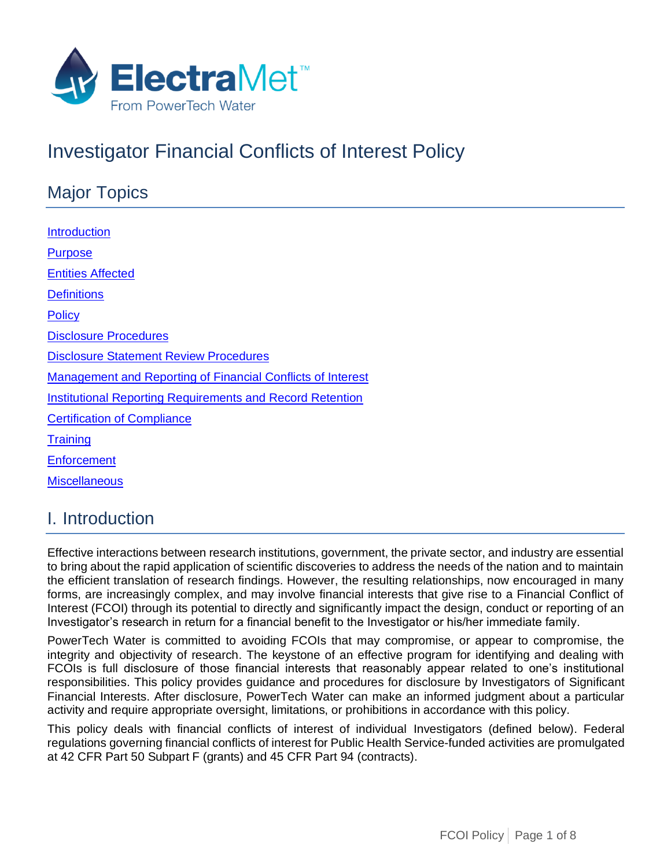

# Investigator Financial Conflicts of Interest Policy

# Major Topics **[Introduction](#page-0-0) [Purpose](#page-1-0)** [Entities Affected](#page-1-1) **[Definitions](#page-1-2) [Policy](#page-3-0)** Disclosure [Procedures](#page-4-0) Disclosure Statement Review [Procedures](#page-4-1) Management and Reporting of Financial Conflicts of Interest [Institutional Reporting Requirements and Record Retention](#page-5-0) Certification of [Compliance](#page-5-1) **[Training](#page-5-2) Enforcement Miscellaneous**

# <span id="page-0-0"></span>I. Introduction

Effective interactions between research institutions, government, the private sector, and industry are essential to bring about the rapid application of scientific discoveries to address the needs of the nation and to maintain the efficient translation of research findings. However, the resulting relationships, now encouraged in many forms, are increasingly complex, and may involve financial interests that give rise to a Financial Conflict of Interest (FCOI) through its potential to directly and significantly impact the design, conduct or reporting of an Investigator's research in return for a financial benefit to the Investigator or his/her immediate family.

PowerTech Water is committed to avoiding FCOIs that may compromise, or appear to compromise, the integrity and objectivity of research. The keystone of an effective program for identifying and dealing with FCOIs is full disclosure of those financial interests that reasonably appear related to one's institutional responsibilities. This policy provides guidance and procedures for disclosure by Investigators of Significant Financial Interests. After disclosure, PowerTech Water can make an informed judgment about a particular activity and require appropriate oversight, limitations, or prohibitions in accordance with this policy.

This policy deals with financial conflicts of interest of individual Investigators (defined below). Federal regulations governing financial conflicts of interest for Public Health Service-funded activities are promulgated at 42 CFR Part 50 Subpart F (grants) and 45 CFR Part 94 (contracts).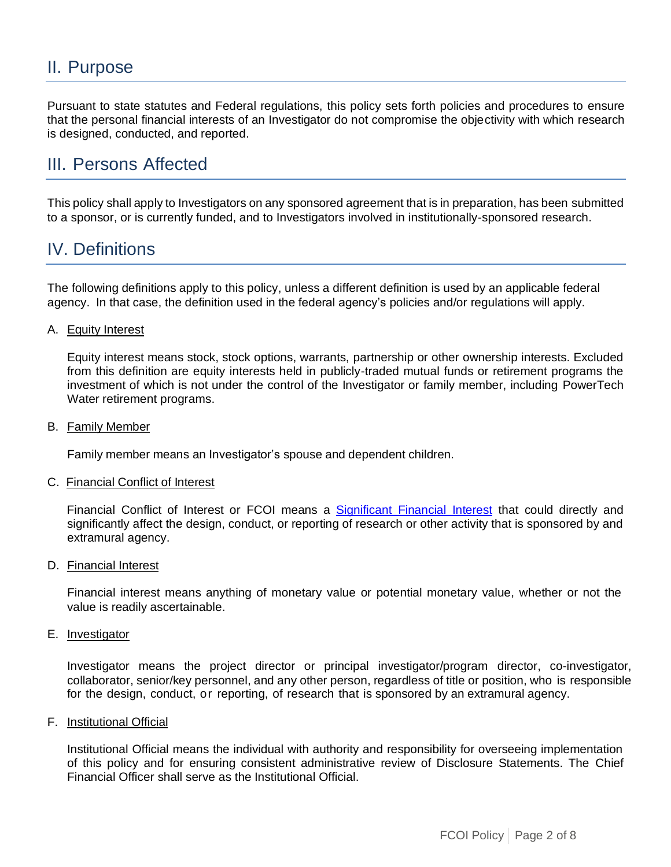# <span id="page-1-0"></span>II. Purpose

Pursuant to state statutes and Federal regulations, this policy sets forth policies and procedures to ensure that the personal financial interests of an Investigator do not compromise the objectivity with which research is designed, conducted, and reported.

### <span id="page-1-1"></span>III. Persons Affected

This policy shall apply to Investigators on any sponsored agreement that is in preparation, has been submitted to a sponsor, or is currently funded, and to Investigators involved in institutionally-sponsored research.

# <span id="page-1-2"></span>IV. Definitions

The following definitions apply to this policy, unless a different definition is used by an applicable federal agency. In that case, the definition used in the federal agency's policies and/or regulations will apply.

A. Equity Interest

Equity interest means stock, stock options, warrants, partnership or other ownership interests. Excluded from this definition are equity interests held in publicly-traded mutual funds or retirement programs the investment of which is not under the control of the Investigator or family member, including PowerTech Water retirement programs.

B. Family Member

Family member means an Investigator's spouse and dependent children.

#### C. Financial Conflict of Interest

Financial Conflict of Interest or FCOI means a [Significant Financial Interest](#page-2-0) that could directly and significantly affect the design, conduct, or reporting of research or other activity that is sponsored by and extramural agency.

D. Financial Interest

Financial interest means anything of monetary value or potential monetary value, whether or not the value is readily ascertainable.

E. Investigator

Investigator means the project director or principal investigator/program director, co-investigator, collaborator, senior/key personnel, and any other person, regardless of title or position, who is responsible for the design, conduct, or reporting, of research that is sponsored by an extramural agency.

F. Institutional Official

Institutional Official means the individual with authority and responsibility for overseeing implementation of this policy and for ensuring consistent administrative review of Disclosure Statements. The Chief Financial Officer shall serve as the Institutional Official.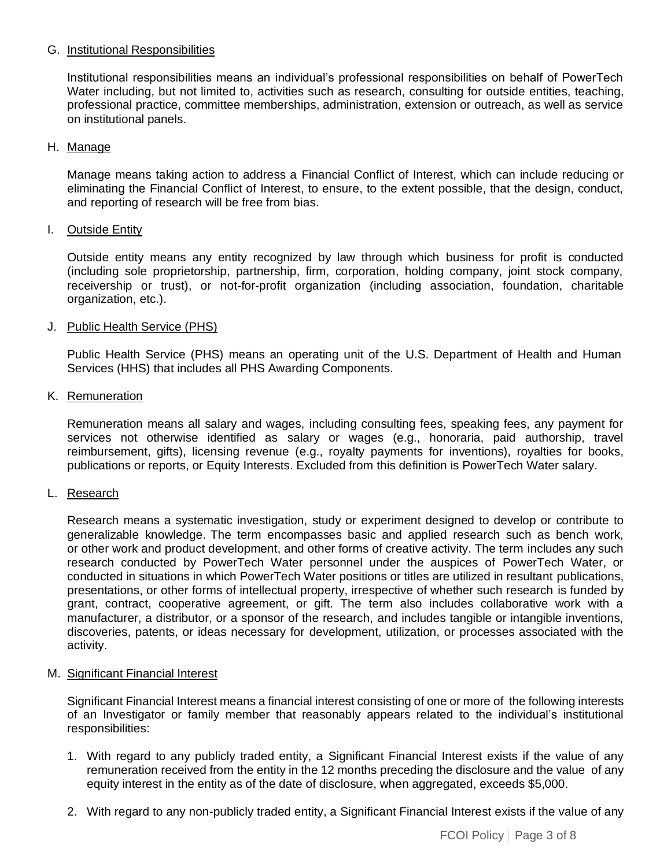#### G. Institutional Responsibilities

Institutional responsibilities means an individual's professional responsibilities on behalf of PowerTech Water including, but not limited to, activities such as research, consulting for outside entities, teaching, professional practice, committee memberships, administration, extension or outreach, as well as service on institutional panels.

#### H. Manage

Manage means taking action to address a Financial Conflict of Interest, which can include reducing or eliminating the Financial Conflict of Interest, to ensure, to the extent possible, that the design, conduct, and reporting of research will be free from bias.

#### I. Outside Entity

Outside entity means any entity recognized by law through which business for profit is conducted (including sole proprietorship, partnership, firm, corporation, holding company, joint stock company, receivership or trust), or not-for-profit organization (including association, foundation, charitable organization, etc.).

#### J. Public Health Service (PHS)

Public Health Service (PHS) means an operating unit of the U.S. Department of Health and Human Services (HHS) that includes all PHS Awarding Components.

#### K. Remuneration

Remuneration means all salary and wages, including consulting fees, speaking fees, any payment for services not otherwise identified as salary or wages (e.g., honoraria, paid authorship, travel reimbursement, gifts), licensing revenue (e.g., royalty payments for inventions), royalties for books, publications or reports, or Equity Interests. Excluded from this definition is PowerTech Water salary.

#### L. Research

Research means a systematic investigation, study or experiment designed to develop or contribute to generalizable knowledge. The term encompasses basic and applied research such as bench work, or other work and product development, and other forms of creative activity. The term includes any such research conducted by PowerTech Water personnel under the auspices of PowerTech Water, or conducted in situations in which PowerTech Water positions or titles are utilized in resultant publications, presentations, or other forms of intellectual property, irrespective of whether such research is funded by grant, contract, cooperative agreement, or gift. The term also includes collaborative work with a manufacturer, a distributor, or a sponsor of the research, and includes tangible or intangible inventions, discoveries, patents, or ideas necessary for development, utilization, or processes associated with the activity.

#### <span id="page-2-0"></span>M. Significant Financial Interest

Significant Financial Interest means a financial interest consisting of one or more of the following interests of an Investigator or family member that reasonably appears related to the individual's institutional responsibilities:

- 1. With regard to any publicly traded entity, a Significant Financial Interest exists if the value of any remuneration received from the entity in the 12 months preceding the disclosure and the value of any equity interest in the entity as of the date of disclosure, when aggregated, exceeds \$5,000.
- 2. With regard to any non-publicly traded entity, a Significant Financial Interest exists if the value of any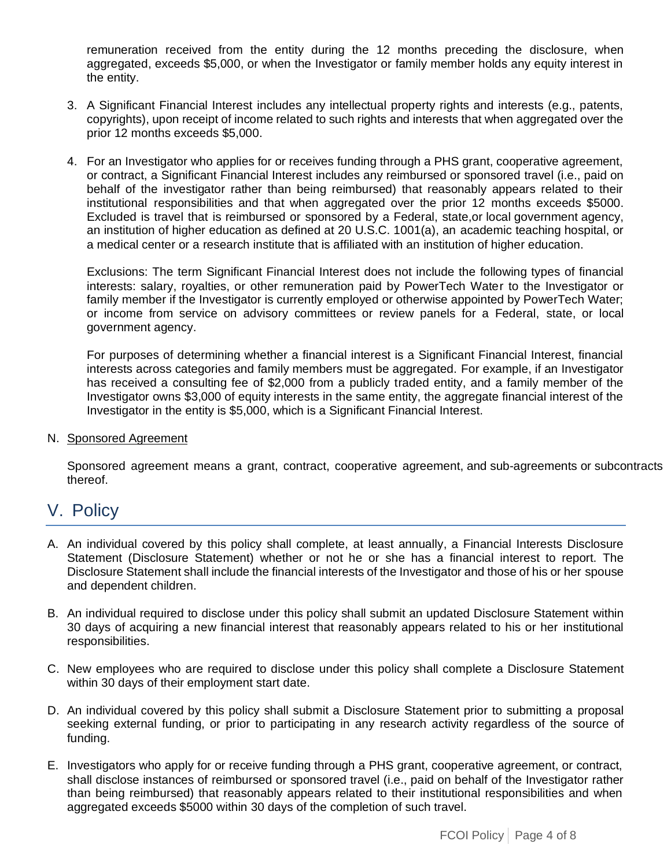remuneration received from the entity during the 12 months preceding the disclosure, when aggregated, exceeds \$5,000, or when the Investigator or family member holds any equity interest in the entity.

- 3. A Significant Financial Interest includes any intellectual property rights and interests (e.g., patents, copyrights), upon receipt of income related to such rights and interests that when aggregated over the prior 12 months exceeds \$5,000.
- 4. For an Investigator who applies for or receives funding through a PHS grant, cooperative agreement, or contract, a Significant Financial Interest includes any reimbursed or sponsored travel (i.e., paid on behalf of the investigator rather than being reimbursed) that reasonably appears related to their institutional responsibilities and that when aggregated over the prior 12 months exceeds \$5000. Excluded is travel that is reimbursed or sponsored by a Federal, state,or local government agency, an institution of higher education as defined at 20 U.S.C. 1001(a), an academic teaching hospital, or a medical center or a research institute that is affiliated with an institution of higher education.

Exclusions: The term Significant Financial Interest does not include the following types of financial interests: salary, royalties, or other remuneration paid by PowerTech Water to the Investigator or family member if the Investigator is currently employed or otherwise appointed by PowerTech Water; or income from service on advisory committees or review panels for a Federal, state, or local government agency.

For purposes of determining whether a financial interest is a Significant Financial Interest, financial interests across categories and family members must be aggregated. For example, if an Investigator has received a consulting fee of \$2,000 from a publicly traded entity, and a family member of the Investigator owns \$3,000 of equity interests in the same entity, the aggregate financial interest of the Investigator in the entity is \$5,000, which is a Significant Financial Interest.

N. Sponsored Agreement

Sponsored agreement means a grant, contract, cooperative agreement, and sub-agreements or subcontracts thereof.

# <span id="page-3-0"></span>V. Policy

- A. An individual covered by this policy shall complete, at least annually, a Financial Interests Disclosure Statement (Disclosure Statement) whether or not he or she has a financial interest to report. The Disclosure Statement shall include the financial interests of the Investigator and those of his or her spouse and dependent children.
- B. An individual required to disclose under this policy shall submit an updated Disclosure Statement within 30 days of acquiring a new financial interest that reasonably appears related to his or her institutional responsibilities.
- C. New employees who are required to disclose under this policy shall complete a Disclosure Statement within 30 days of their employment start date.
- D. An individual covered by this policy shall submit a Disclosure Statement prior to submitting a proposal seeking external funding, or prior to participating in any research activity regardless of the source of funding.
- E. Investigators who apply for or receive funding through a PHS grant, cooperative agreement, or contract, shall disclose instances of reimbursed or sponsored travel (i.e., paid on behalf of the Investigator rather than being reimbursed) that reasonably appears related to their institutional responsibilities and when aggregated exceeds \$5000 within 30 days of the completion of such travel.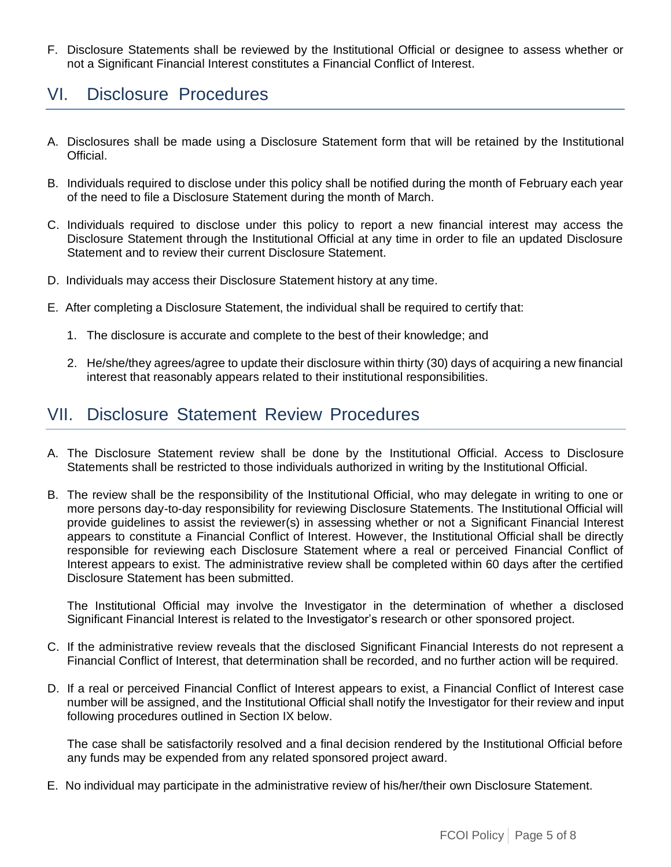F. Disclosure Statements shall be reviewed by the Institutional Official or designee to assess whether or not a Significant Financial Interest constitutes a Financial Conflict of Interest.

# <span id="page-4-0"></span>VI. Disclosure Procedures

- A. Disclosures shall be made using a Disclosure Statement form that will be retained by the Institutional Official.
- B. Individuals required to disclose under this policy shall be notified during the month of February each year of the need to file a Disclosure Statement during the month of March.
- C. Individuals required to disclose under this policy to report a new financial interest may access the Disclosure Statement through the Institutional Official at any time in order to file an updated Disclosure Statement and to review their current Disclosure Statement.
- D. Individuals may access their Disclosure Statement history at any time.
- E. After completing a Disclosure Statement, the individual shall be required to certify that:
	- 1. The disclosure is accurate and complete to the best of their knowledge; and
	- 2. He/she/they agrees/agree to update their disclosure within thirty (30) days of acquiring a new financial interest that reasonably appears related to their institutional responsibilities.

### <span id="page-4-1"></span>VII. Disclosure Statement Review Procedures

- A. The Disclosure Statement review shall be done by the Institutional Official. Access to Disclosure Statements shall be restricted to those individuals authorized in writing by the Institutional Official.
- B. The review shall be the responsibility of the Institutional Official, who may delegate in writing to one or more persons day-to-day responsibility for reviewing Disclosure Statements. The Institutional Official will provide guidelines to assist the reviewer(s) in assessing whether or not a Significant Financial Interest appears to constitute a Financial Conflict of Interest. However, the Institutional Official shall be directly responsible for reviewing each Disclosure Statement where a real or perceived Financial Conflict of Interest appears to exist. The administrative review shall be completed within 60 days after the certified Disclosure Statement has been submitted.

The Institutional Official may involve the Investigator in the determination of whether a disclosed Significant Financial Interest is related to the Investigator's research or other sponsored project.

- C. If the administrative review reveals that the disclosed Significant Financial Interests do not represent a Financial Conflict of Interest, that determination shall be recorded, and no further action will be required.
- D. If a real or perceived Financial Conflict of Interest appears to exist, a Financial Conflict of Interest case number will be assigned, and the Institutional Official shall notify the Investigator for their review and input following procedures outlined in Section IX below.

The case shall be satisfactorily resolved and a final decision rendered by the Institutional Official before any funds may be expended from any related sponsored project award.

E. No individual may participate in the administrative review of his/her/their own Disclosure Statement.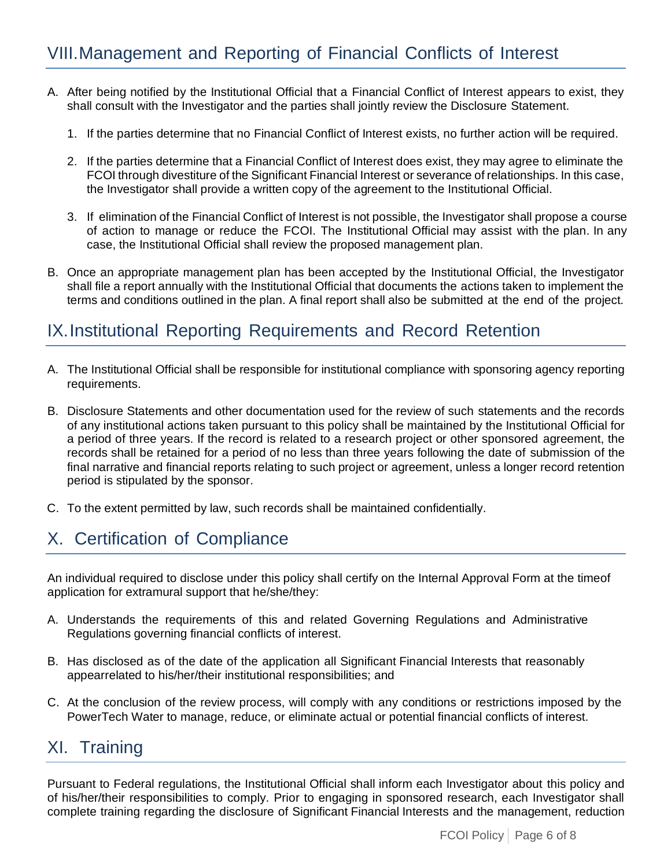- A. After being notified by the Institutional Official that a Financial Conflict of Interest appears to exist, they shall consult with the Investigator and the parties shall jointly review the Disclosure Statement.
	- 1. If the parties determine that no Financial Conflict of Interest exists, no further action will be required.
	- 2. If the parties determine that a Financial Conflict of Interest does exist, they may agree to eliminate the FCOI through divestiture of the Significant Financial Interest or severance of relationships. In this case, the Investigator shall provide a written copy of the agreement to the Institutional Official.
	- 3. If elimination of the Financial Conflict of Interest is not possible, the Investigator shall propose a course of action to manage or reduce the FCOI. The Institutional Official may assist with the plan. In any case, the Institutional Official shall review the proposed management plan.
- B. Once an appropriate management plan has been accepted by the Institutional Official, the Investigator shall file a report annually with the Institutional Official that documents the actions taken to implement the terms and conditions outlined in the plan. A final report shall also be submitted at the end of the project.

# <span id="page-5-0"></span>IX.Institutional Reporting Requirements and Record Retention

- A. The Institutional Official shall be responsible for institutional compliance with sponsoring agency reporting requirements.
- B. Disclosure Statements and other documentation used for the review of such statements and the records of any institutional actions taken pursuant to this policy shall be maintained by the Institutional Official for a period of three years. If the record is related to a research project or other sponsored agreement, the records shall be retained for a period of no less than three years following the date of submission of the final narrative and financial reports relating to such project or agreement, unless a longer record retention period is stipulated by the sponsor.
- C. To the extent permitted by law, such records shall be maintained confidentially.

# <span id="page-5-1"></span>X. Certification of Compliance

An individual required to disclose under this policy shall certify on the Internal Approval Form at the timeof application for extramural support that he/she/they:

- A. Understands the requirements of this and related Governing Regulations and Administrative Regulations governing financial conflicts of interest.
- B. Has disclosed as of the date of the application all Significant Financial Interests that reasonably appearrelated to his/her/their institutional responsibilities; and
- C. At the conclusion of the review process, will comply with any conditions or restrictions imposed by the PowerTech Water to manage, reduce, or eliminate actual or potential financial conflicts of interest.

### <span id="page-5-2"></span>XI. Training

Pursuant to Federal regulations, the Institutional Official shall inform each Investigator about this policy and of his/her/their responsibilities to comply. Prior to engaging in sponsored research, each Investigator shall complete training regarding the disclosure of Significant Financial Interests and the management, reduction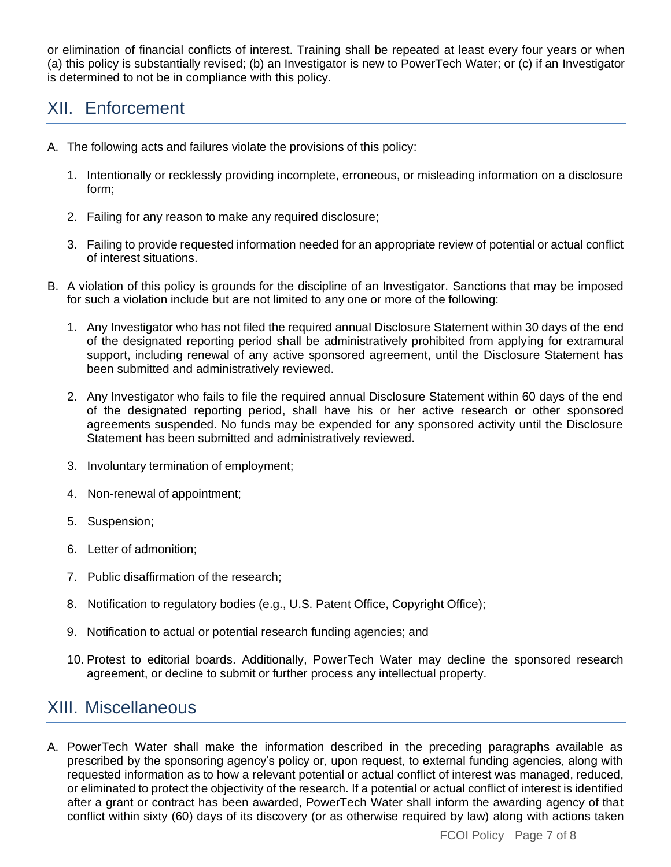or elimination of financial conflicts of interest. Training shall be repeated at least every four years or when (a) this policy is substantially revised; (b) an Investigator is new to PowerTech Water; or (c) if an Investigator is determined to not be in compliance with this policy.

# XII. Enforcement

- A. The following acts and failures violate the provisions of this policy:
	- 1. Intentionally or recklessly providing incomplete, erroneous, or misleading information on a disclosure form;
	- 2. Failing for any reason to make any required disclosure;
	- 3. Failing to provide requested information needed for an appropriate review of potential or actual conflict of interest situations.
- B. A violation of this policy is grounds for the discipline of an Investigator. Sanctions that may be imposed for such a violation include but are not limited to any one or more of the following:
	- 1. Any Investigator who has not filed the required annual Disclosure Statement within 30 days of the end of the designated reporting period shall be administratively prohibited from applying for extramural support, including renewal of any active sponsored agreement, until the Disclosure Statement has been submitted and administratively reviewed.
	- 2. Any Investigator who fails to file the required annual Disclosure Statement within 60 days of the end of the designated reporting period, shall have his or her active research or other sponsored agreements suspended. No funds may be expended for any sponsored activity until the Disclosure Statement has been submitted and administratively reviewed.
	- 3. Involuntary termination of employment;
	- 4. Non-renewal of appointment;
	- 5. Suspension;
	- 6. Letter of admonition;
	- 7. Public disaffirmation of the research;
	- 8. Notification to regulatory bodies (e.g., U.S. Patent Office, Copyright Office);
	- 9. Notification to actual or potential research funding agencies; and
	- 10. Protest to editorial boards. Additionally, PowerTech Water may decline the sponsored research agreement, or decline to submit or further process any intellectual property.

### XIII. Miscellaneous

A. PowerTech Water shall make the information described in the preceding paragraphs available as prescribed by the sponsoring agency's policy or, upon request, to external funding agencies, along with requested information as to how a relevant potential or actual conflict of interest was managed, reduced, or eliminated to protect the objectivity of the research. If a potential or actual conflict of interest is identified after a grant or contract has been awarded, PowerTech Water shall inform the awarding agency of that conflict within sixty (60) days of its discovery (or as otherwise required by law) along with actions taken